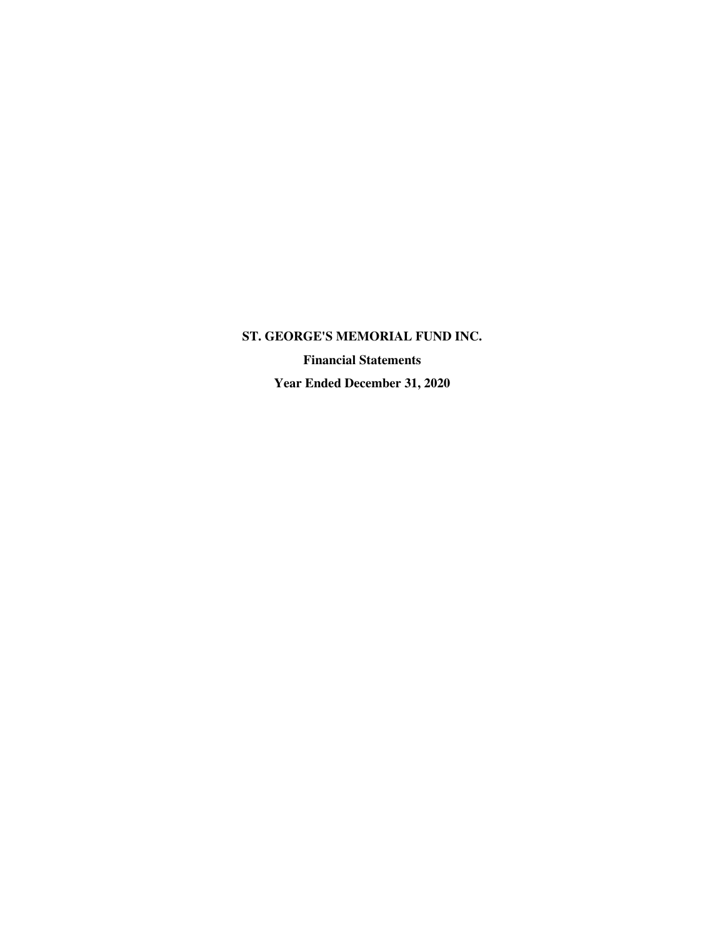**Financial Statements Year Ended December 31, 2020**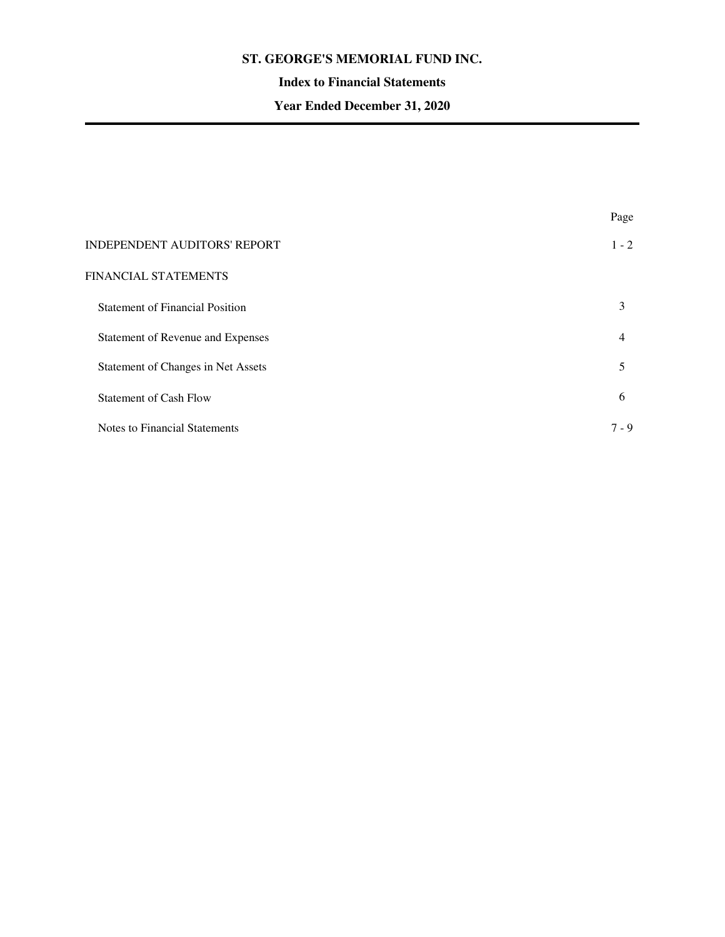# **Index to Financial Statements**

|                                        | Page    |
|----------------------------------------|---------|
| INDEPENDENT AUDITORS' REPORT           | $1 - 2$ |
| FINANCIAL STATEMENTS                   |         |
| <b>Statement of Financial Position</b> | 3       |
| Statement of Revenue and Expenses      | 4       |
| Statement of Changes in Net Assets     | 5       |
| <b>Statement of Cash Flow</b>          | 6       |
| Notes to Financial Statements          | $7 - 9$ |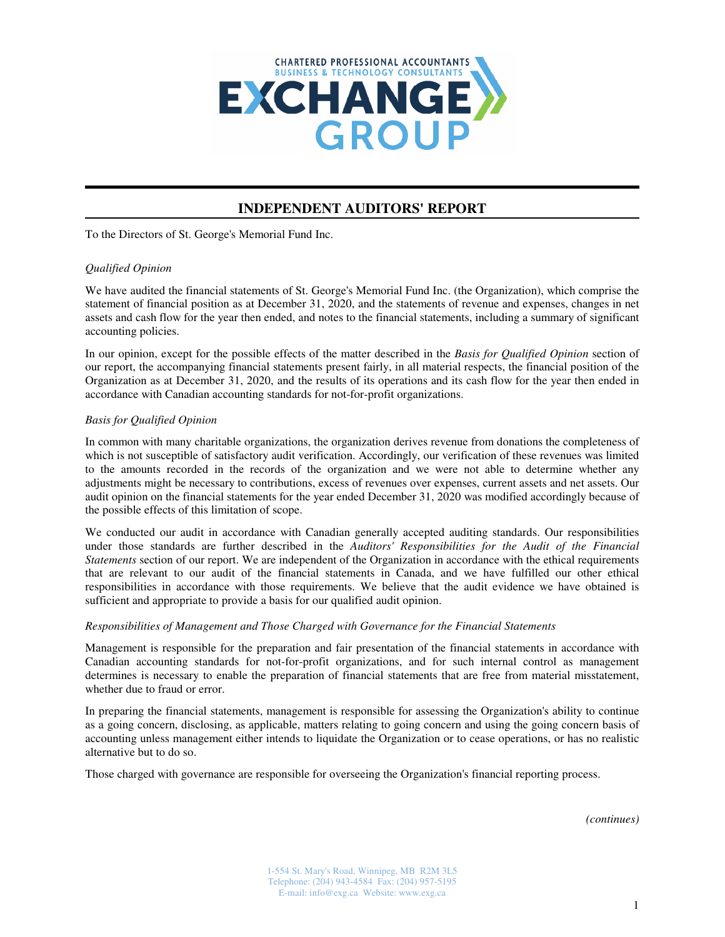

# **INDEPENDENT AUDITORS' REPORT**

To the Directors of St. George's Memorial Fund Inc.

### *Qualified Opinion*

We have audited the financial statements of St. George's Memorial Fund Inc. (the Organization), which comprise the statement of financial position as at December 31, 2020, and the statements of revenue and expenses, changes in net assets and cash flow for the year then ended, and notes to the financial statements, including a summary of significant accounting policies.

In our opinion, except for the possible effects of the matter described in the *Basis for Qualified Opinion* section of our report, the accompanying financial statements present fairly, in all material respects, the financial position of the Organization as at December 31, 2020, and the results of its operations and its cash flow for the year then ended in accordance with Canadian accounting standards for not-for-profit organizations.

### *Basis for Qualified Opinion*

In common with many charitable organizations, the organization derives revenue from donations the completeness of which is not susceptible of satisfactory audit verification. Accordingly, our verification of these revenues was limited to the amounts recorded in the records of the organization and we were not able to determine whether any adjustments might be necessary to contributions, excess of revenues over expenses, current assets and net assets. Our audit opinion on the financial statements for the year ended December 31, 2020 was modified accordingly because of the possible effects of this limitation of scope.

We conducted our audit in accordance with Canadian generally accepted auditing standards. Our responsibilities under those standards are further described in the *Auditors' Responsibilities for the Audit of the Financial Statements* section of our report. We are independent of the Organization in accordance with the ethical requirements that are relevant to our audit of the financial statements in Canada, and we have fulfilled our other ethical responsibilities in accordance with those requirements. We believe that the audit evidence we have obtained is sufficient and appropriate to provide a basis for our qualified audit opinion.

#### *Responsibilities of Management and Those Charged with Governance for the Financial Statements*

Management is responsible for the preparation and fair presentation of the financial statements in accordance with Canadian accounting standards for not-for-profit organizations, and for such internal control as management determines is necessary to enable the preparation of financial statements that are free from material misstatement, whether due to fraud or error.

In preparing the financial statements, management is responsible for assessing the Organization's ability to continue as a going concern, disclosing, as applicable, matters relating to going concern and using the going concern basis of accounting unless management either intends to liquidate the Organization or to cease operations, or has no realistic alternative but to do so.

Those charged with governance are responsible for overseeing the Organization's financial reporting process.

*(continues)*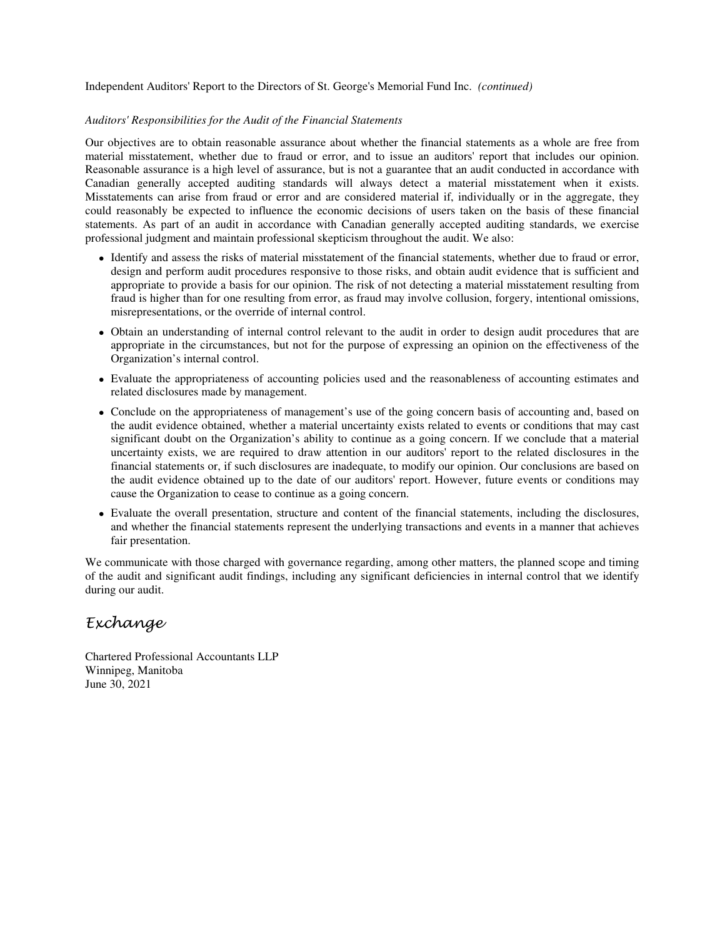#### Independent Auditors' Report to the Directors of St. George's Memorial Fund Inc. *(continued)*

#### *Auditors' Responsibilities for the Audit of the Financial Statements*

Our objectives are to obtain reasonable assurance about whether the financial statements as a whole are free from material misstatement, whether due to fraud or error, and to issue an auditors' report that includes our opinion. Reasonable assurance is a high level of assurance, but is not a guarantee that an audit conducted in accordance with Canadian generally accepted auditing standards will always detect a material misstatement when it exists. Misstatements can arise from fraud or error and are considered material if, individually or in the aggregate, they could reasonably be expected to influence the economic decisions of users taken on the basis of these financial statements. As part of an audit in accordance with Canadian generally accepted auditing standards, we exercise professional judgment and maintain professional skepticism throughout the audit. We also:

- Identify and assess the risks of material misstatement of the financial statements, whether due to fraud or error, design and perform audit procedures responsive to those risks, and obtain audit evidence that is sufficient and appropriate to provide a basis for our opinion. The risk of not detecting a material misstatement resulting from fraud is higher than for one resulting from error, as fraud may involve collusion, forgery, intentional omissions, misrepresentations, or the override of internal control.
- Obtain an understanding of internal control relevant to the audit in order to design audit procedures that are appropriate in the circumstances, but not for the purpose of expressing an opinion on the effectiveness of the Organization's internal control.
- Evaluate the appropriateness of accounting policies used and the reasonableness of accounting estimates and related disclosures made by management.
- Conclude on the appropriateness of management's use of the going concern basis of accounting and, based on the audit evidence obtained, whether a material uncertainty exists related to events or conditions that may cast significant doubt on the Organization's ability to continue as a going concern. If we conclude that a material uncertainty exists, we are required to draw attention in our auditors' report to the related disclosures in the financial statements or, if such disclosures are inadequate, to modify our opinion. Our conclusions are based on the audit evidence obtained up to the date of our auditors' report. However, future events or conditions may cause the Organization to cease to continue as a going concern.
- Evaluate the overall presentation, structure and content of the financial statements, including the disclosures, and whether the financial statements represent the underlying transactions and events in a manner that achieves fair presentation.

We communicate with those charged with governance regarding, among other matters, the planned scope and timing of the audit and significant audit findings, including any significant deficiencies in internal control that we identify during our audit.

# Exchange

Chartered Professional Accountants LLP Winnipeg, Manitoba June 30, 2021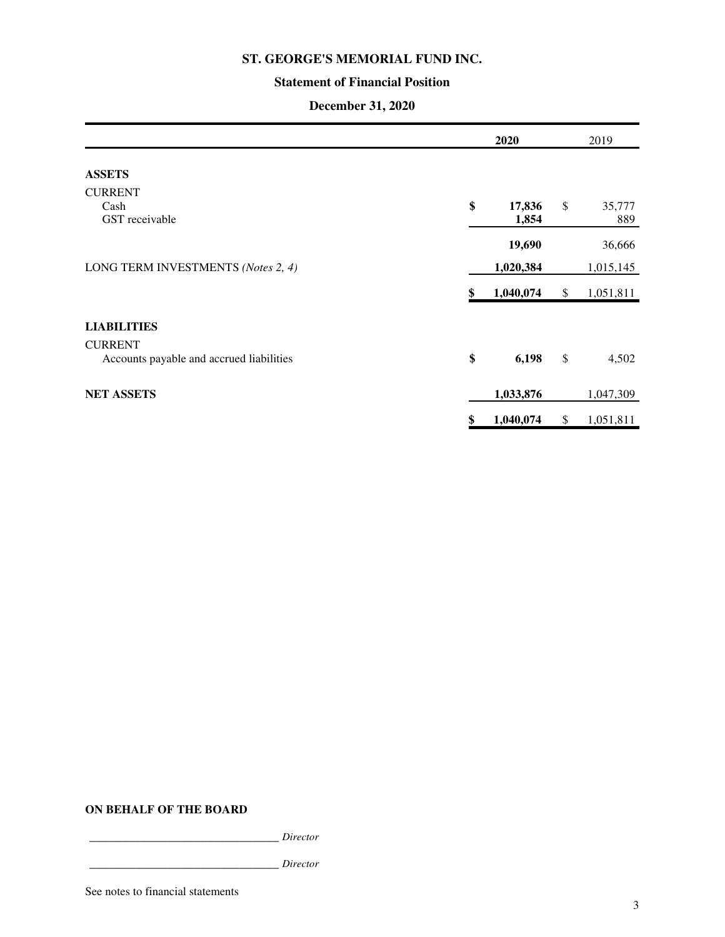## **Statement of Financial Position**

## **December 31, 2020**

|                                                            | 2020 |                 |    | 2019          |  |
|------------------------------------------------------------|------|-----------------|----|---------------|--|
| <b>ASSETS</b>                                              |      |                 |    |               |  |
| <b>CURRENT</b><br>Cash<br>GST receivable                   | \$   | 17,836<br>1,854 | \$ | 35,777<br>889 |  |
|                                                            |      | 19,690          |    | 36,666        |  |
| LONG TERM INVESTMENTS (Notes 2, 4)                         |      | 1,020,384       |    | 1,015,145     |  |
|                                                            | \$   | 1,040,074       | \$ | 1,051,811     |  |
| <b>LIABILITIES</b>                                         |      |                 |    |               |  |
| <b>CURRENT</b><br>Accounts payable and accrued liabilities | \$   | 6,198           | \$ | 4,502         |  |
| <b>NET ASSETS</b>                                          |      | 1,033,876       |    | 1,047,309     |  |
|                                                            | \$   | 1,040,074       | \$ | 1,051,811     |  |

## **ON BEHALF OF THE BOARD**

\_\_\_\_\_\_\_\_\_\_\_\_\_\_\_\_\_\_\_\_\_\_\_\_\_\_\_\_\_ *Director*

\_\_\_\_\_\_\_\_\_\_\_\_\_\_\_\_\_\_\_\_\_\_\_\_\_\_\_\_\_ *Director*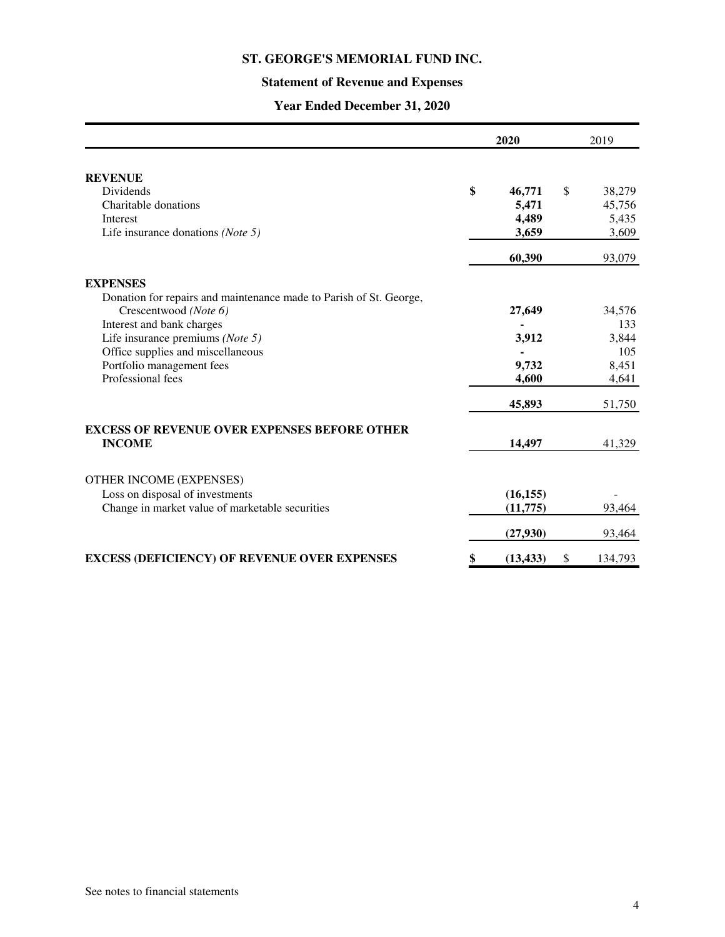## **Statement of Revenue and Expenses**

|                                                                    | 2020            | 2019          |
|--------------------------------------------------------------------|-----------------|---------------|
| <b>REVENUE</b>                                                     |                 |               |
| <b>Dividends</b>                                                   | \$<br>46,771    | \$<br>38,279  |
| Charitable donations                                               | 5,471           | 45,756        |
| Interest                                                           | 4,489           | 5,435         |
| Life insurance donations ( <i>Note</i> 5)                          | 3,659           | 3,609         |
|                                                                    | 60,390          | 93,079        |
| <b>EXPENSES</b>                                                    |                 |               |
| Donation for repairs and maintenance made to Parish of St. George, |                 |               |
| Crescentwood (Note 6)                                              | 27,649          | 34,576        |
| Interest and bank charges                                          |                 | 133           |
| Life insurance premiums (Note 5)                                   | 3,912           | 3,844         |
| Office supplies and miscellaneous                                  |                 | 105           |
| Portfolio management fees                                          | 9,732           | 8,451         |
| Professional fees                                                  | 4,600           | 4,641         |
|                                                                    | 45,893          | 51,750        |
| <b>EXCESS OF REVENUE OVER EXPENSES BEFORE OTHER</b>                |                 |               |
| <b>INCOME</b>                                                      | 14,497          | 41,329        |
| OTHER INCOME (EXPENSES)                                            |                 |               |
| Loss on disposal of investments                                    | (16, 155)       |               |
| Change in market value of marketable securities                    | (11,775)        | 93,464        |
|                                                                    | (27, 930)       | 93,464        |
| <b>EXCESS (DEFICIENCY) OF REVENUE OVER EXPENSES</b>                | \$<br>(13, 433) | \$<br>134,793 |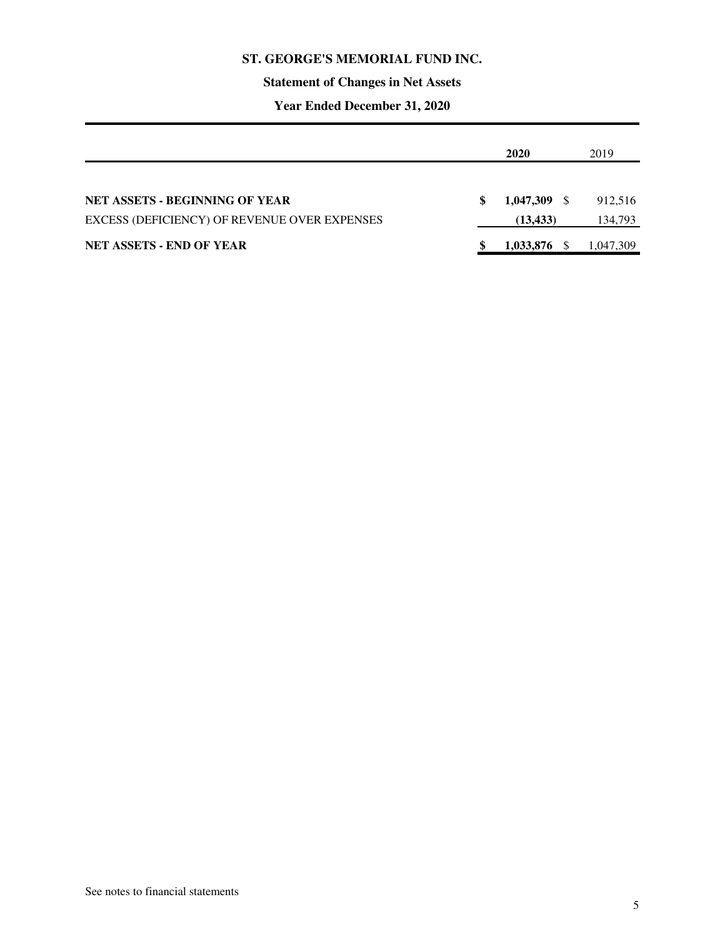## **Statement of Changes in Net Assets**

|                                              |   | 2020           | 2019      |
|----------------------------------------------|---|----------------|-----------|
|                                              |   |                |           |
| <b>NET ASSETS - BEGINNING OF YEAR</b>        | S | $1,047,309$ \$ | 912,516   |
| EXCESS (DEFICIENCY) OF REVENUE OVER EXPENSES |   | (13, 433)      | 134,793   |
| NET ASSETS - END OF YEAR                     |   | $1,033,876$ \$ | 1,047,309 |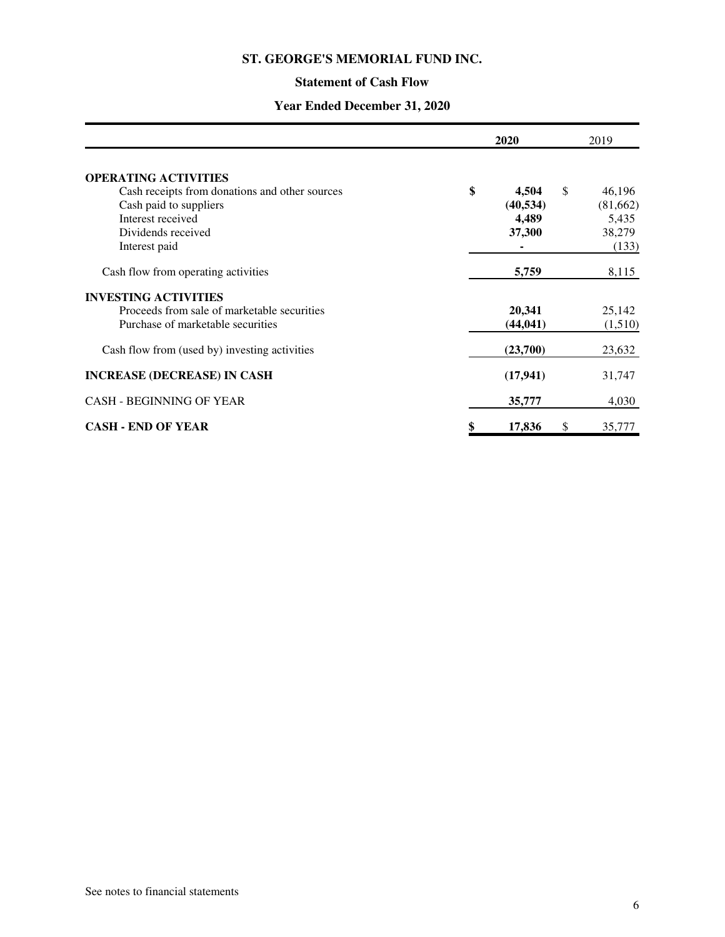## **Statement of Cash Flow**

|                                                                               | 2020         |    |                 |
|-------------------------------------------------------------------------------|--------------|----|-----------------|
| <b>OPERATING ACTIVITIES</b><br>Cash receipts from donations and other sources | \$<br>4,504  | \$ | 46,196          |
| Cash paid to suppliers                                                        | (40, 534)    |    | (81, 662)       |
| Interest received                                                             | 4,489        |    | 5,435           |
| Dividends received<br>Interest paid                                           | 37,300       |    | 38,279<br>(133) |
|                                                                               |              |    |                 |
| Cash flow from operating activities                                           | 5,759        |    | 8,115           |
| <b>INVESTING ACTIVITIES</b>                                                   |              |    |                 |
| Proceeds from sale of marketable securities                                   | 20,341       |    | 25,142          |
| Purchase of marketable securities                                             | (44, 041)    |    | (1,510)         |
| Cash flow from (used by) investing activities                                 | (23,700)     |    | 23,632          |
| <b>INCREASE (DECREASE) IN CASH</b>                                            | (17, 941)    |    | 31,747          |
| <b>CASH - BEGINNING OF YEAR</b>                                               | 35,777       |    | 4,030           |
| <b>CASH - END OF YEAR</b>                                                     | \$<br>17,836 | \$ | 35,777          |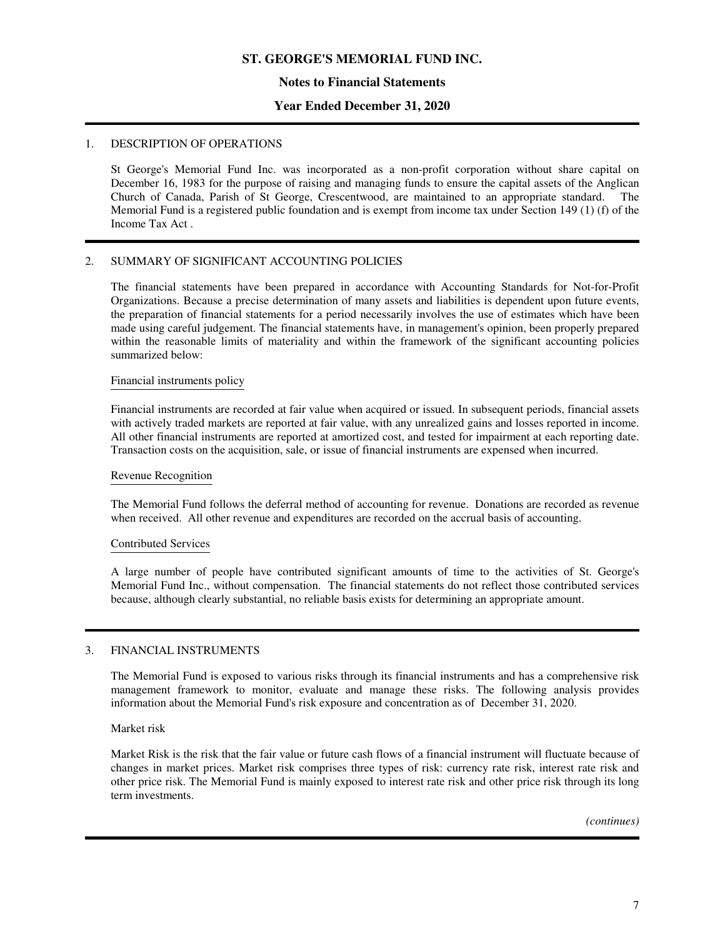## **Notes to Financial Statements**

## **Year Ended December 31, 2020**

#### 1. DESCRIPTION OF OPERATIONS

St George's Memorial Fund Inc. was incorporated as a non-profit corporation without share capital on December 16, 1983 for the purpose of raising and managing funds to ensure the capital assets of the Anglican Church of Canada, Parish of St George, Crescentwood, are maintained to an appropriate standard. The Memorial Fund is a registered public foundation and is exempt from income tax under Section 149 (1) (f) of the Income Tax Act .

### 2. SUMMARY OF SIGNIFICANT ACCOUNTING POLICIES

The financial statements have been prepared in accordance with Accounting Standards for Not-for-Profit Organizations. Because a precise determination of many assets and liabilities is dependent upon future events, the preparation of financial statements for a period necessarily involves the use of estimates which have been made using careful judgement. The financial statements have, in management's opinion, been properly prepared within the reasonable limits of materiality and within the framework of the significant accounting policies summarized below:

#### Financial instruments policy

Financial instruments are recorded at fair value when acquired or issued. In subsequent periods, financial assets with actively traded markets are reported at fair value, with any unrealized gains and losses reported in income. All other financial instruments are reported at amortized cost, and tested for impairment at each reporting date. Transaction costs on the acquisition, sale, or issue of financial instruments are expensed when incurred.

## Revenue Recognition

The Memorial Fund follows the deferral method of accounting for revenue. Donations are recorded as revenue when received. All other revenue and expenditures are recorded on the accrual basis of accounting.

#### Contributed Services

A large number of people have contributed significant amounts of time to the activities of St. George's Memorial Fund Inc., without compensation. The financial statements do not reflect those contributed services because, although clearly substantial, no reliable basis exists for determining an appropriate amount.

### 3. FINANCIAL INSTRUMENTS

The Memorial Fund is exposed to various risks through its financial instruments and has a comprehensive risk management framework to monitor, evaluate and manage these risks. The following analysis provides information about the Memorial Fund's risk exposure and concentration as of December 31, 2020.

## Market risk

Market Risk is the risk that the fair value or future cash flows of a financial instrument will fluctuate because of changes in market prices. Market risk comprises three types of risk: currency rate risk, interest rate risk and other price risk. The Memorial Fund is mainly exposed to interest rate risk and other price risk through its long term investments.

*(continues)*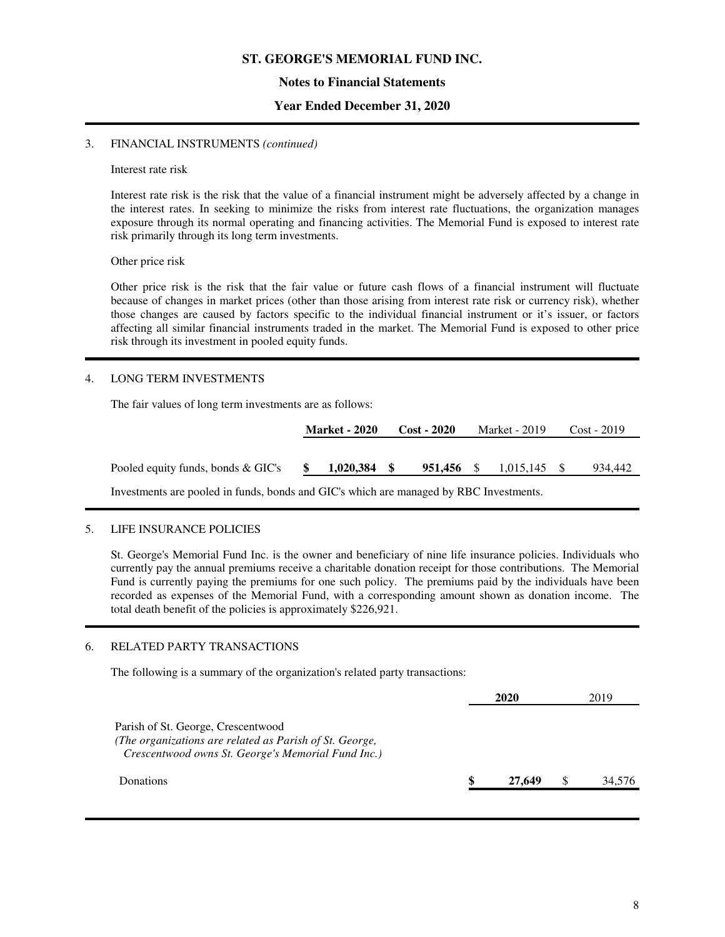## **Notes to Financial Statements**

### **Year Ended December 31, 2020**

## 3. FINANCIAL INSTRUMENTS *(continued)*

Interest rate risk

Interest rate risk is the risk that the value of a financial instrument might be adversely affected by a change in the interest rates. In seeking to minimize the risks from interest rate fluctuations, the organization manages exposure through its normal operating and financing activities. The Memorial Fund is exposed to interest rate risk primarily through its long term investments.

Other price risk

Other price risk is the risk that the fair value or future cash flows of a financial instrument will fluctuate because of changes in market prices (other than those arising from interest rate risk or currency risk), whether those changes are caused by factors specific to the individual financial instrument or it's issuer, or factors affecting all similar financial instruments traded in the market. The Memorial Fund is exposed to other price risk through its investment in pooled equity funds.

#### 4. LONG TERM INVESTMENTS

The fair values of long term investments are as follows:

|                                                                                                                                                                                                                                                                                                                                                                                      |     | <b>Market - 2020</b> |      | $Cost - 2020$ | <b>Market</b> - 2019 | $Cost - 2019$ |
|--------------------------------------------------------------------------------------------------------------------------------------------------------------------------------------------------------------------------------------------------------------------------------------------------------------------------------------------------------------------------------------|-----|----------------------|------|---------------|----------------------|---------------|
|                                                                                                                                                                                                                                                                                                                                                                                      |     |                      |      |               |                      |               |
| Pooled equity funds, bonds & GIC's                                                                                                                                                                                                                                                                                                                                                   | SS. | 1,020,384            | - \$ | 951.456 \$    | $1,015,145$ \$       | 934.442       |
| $\overline{1}$ $\overline{1}$ $\overline{1}$ $\overline{1}$ $\overline{1}$ $\overline{1}$ $\overline{1}$ $\overline{1}$ $\overline{1}$ $\overline{1}$ $\overline{1}$ $\overline{1}$ $\overline{1}$ $\overline{1}$ $\overline{1}$ $\overline{1}$ $\overline{1}$ $\overline{1}$ $\overline{1}$ $\overline{1}$ $\overline{1}$ $\overline{1}$ $\overline{1}$ $\overline{1}$ $\overline{$ |     |                      |      |               | $\cdots$             |               |

Investments are pooled in funds, bonds and GIC's which are managed by RBC Investments.

### 5. LIFE INSURANCE POLICIES

St. George's Memorial Fund Inc. is the owner and beneficiary of nine life insurance policies. Individuals who currently pay the annual premiums receive a charitable donation receipt for those contributions. The Memorial Fund is currently paying the premiums for one such policy. The premiums paid by the individuals have been recorded as expenses of the Memorial Fund, with a corresponding amount shown as donation income. The total death benefit of the policies is approximately \$226,921.

#### 6. RELATED PARTY TRANSACTIONS

The following is a summary of the organization's related party transactions:

|                                                                                                                                                     | 2020 |        | 2019   |  |
|-----------------------------------------------------------------------------------------------------------------------------------------------------|------|--------|--------|--|
| Parish of St. George, Crescentwood<br>(The organizations are related as Parish of St. George,<br>Crescentwood owns St. George's Memorial Fund Inc.) |      |        |        |  |
| Donations                                                                                                                                           |      | 27,649 | 34.576 |  |
|                                                                                                                                                     |      |        |        |  |